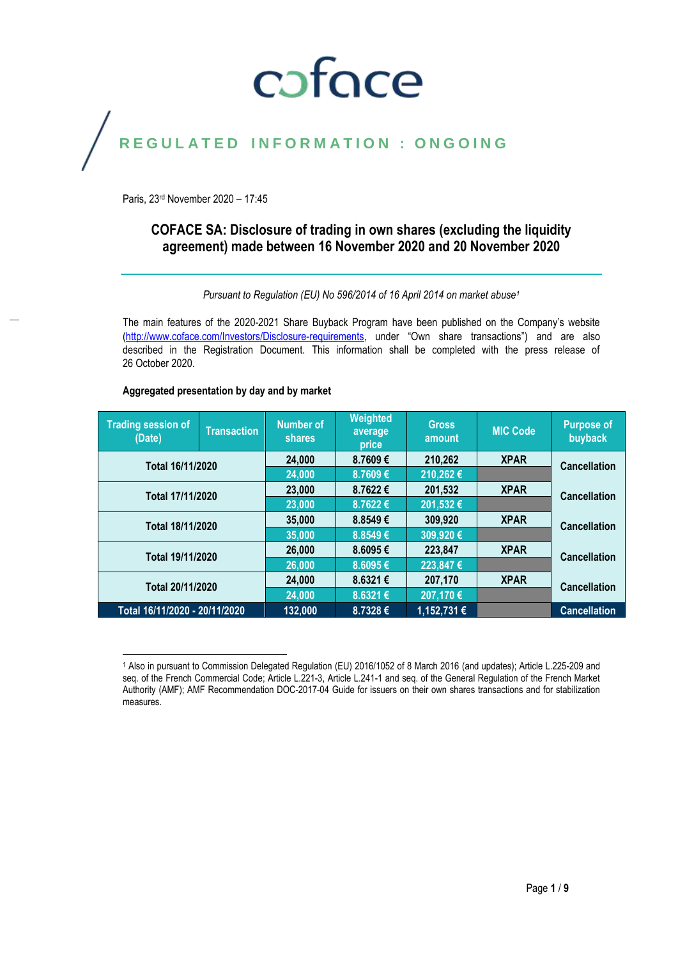# coface

## REGULATED INFORMATION : ONGOING

Paris, 23rd November 2020 – 17:45

## **COFACE SA: Disclosure of trading in own shares (excluding the liquidity agreement) made between 16 November 2020 and 20 November 2020**

*Pursuant to Regulation (EU) No 596/2014 of 16 April 2014 on market abuse<sup>1</sup>*

The main features of the 2020-2021 Share Buyback Program have been published on the Company's website [\(http://www.coface.com/Investors/Disclosure-requirements](http://www.coface.com/Investors/Disclosure-requirements), under "Own share transactions") and are also described in the Registration Document. This information shall be completed with the press release of 26 October 2020.

#### **Aggregated presentation by day and by market**

| <b>Trading session of</b><br>(Date) | <b>Transaction</b> | <b>Number of</b><br><b>shares</b> | <b>Weighted</b><br>average<br>price | <b>Gross</b><br>amount | <b>MIC Code</b> | <b>Purpose of</b><br>buyback |  |
|-------------------------------------|--------------------|-----------------------------------|-------------------------------------|------------------------|-----------------|------------------------------|--|
| Total 16/11/2020                    |                    | 24,000                            | 8.7609€                             | 210,262                | <b>XPAR</b>     | <b>Cancellation</b>          |  |
|                                     |                    | 24,000                            | 8.7609€                             | 210,262€               |                 |                              |  |
| Total 17/11/2020                    |                    | 23,000                            | 8.7622€                             | 201,532                | <b>XPAR</b>     | <b>Cancellation</b>          |  |
|                                     |                    | 23,000                            | 8.7622€                             | 201,532€               |                 |                              |  |
| Total 18/11/2020                    |                    | 35,000                            | 8.8549€                             | 309,920                | <b>XPAR</b>     | <b>Cancellation</b>          |  |
|                                     |                    | 35,000                            | 8.8549€                             | 309,920€               |                 |                              |  |
| Total 19/11/2020                    |                    | 26,000                            | 8.6095€                             | 223,847                | <b>XPAR</b>     | <b>Cancellation</b>          |  |
|                                     |                    | 26,000                            | 8.6095€                             | 223,847€               |                 |                              |  |
| Total 20/11/2020                    |                    | 24,000                            | 8.6321€                             | 207,170                | <b>XPAR</b>     | <b>Cancellation</b>          |  |
|                                     |                    | 24,000                            | 8.6321€                             | 207,170 €              |                 |                              |  |
| Total 16/11/2020 - 20/11/2020       |                    | 132,000                           | 8.7328€                             | 1,152,731 €            |                 | <b>Cancellation</b>          |  |

 $\overline{\phantom{a}}$ <sup>1</sup> Also in pursuant to Commission Delegated Regulation (EU) 2016/1052 of 8 March 2016 (and updates); Article L.225-209 and seq. of the French Commercial Code; Article L.221-3, Article L.241-1 and seq. of the General Regulation of the French Market Authority (AMF); AMF Recommendation DOC-2017-04 Guide for issuers on their own shares transactions and for stabilization measures.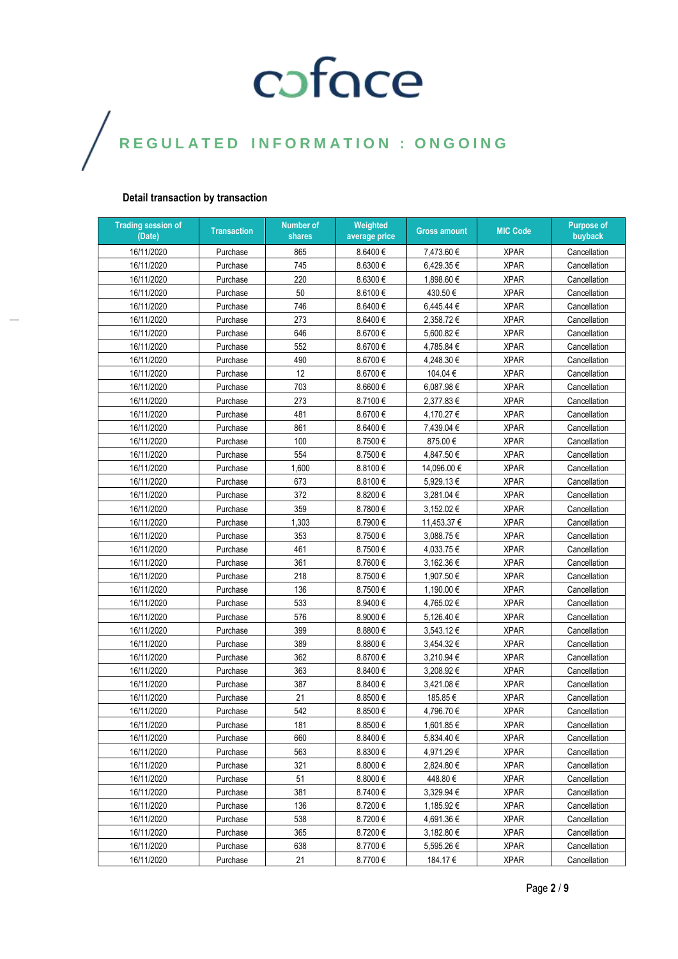### **Detail transaction by transaction**

| <b>Trading session of</b><br>(Date) | <b>Transaction</b> | <b>Number of</b><br>shares | Weighted<br>average price | <b>Gross amount</b> | <b>MIC Code</b> | <b>Purpose of</b><br>buyback |
|-------------------------------------|--------------------|----------------------------|---------------------------|---------------------|-----------------|------------------------------|
| 16/11/2020                          | Purchase           | 865                        | 8.6400€                   | 7,473.60 €          | <b>XPAR</b>     | Cancellation                 |
| 16/11/2020                          | Purchase           | 745                        | 8.6300€                   | 6,429.35€           | <b>XPAR</b>     | Cancellation                 |
| 16/11/2020                          | Purchase           | 220                        | 8.6300€                   | 1,898.60 €          | <b>XPAR</b>     | Cancellation                 |
| 16/11/2020                          | Purchase           | 50                         | 8.6100€                   | 430.50€             | <b>XPAR</b>     | Cancellation                 |
| 16/11/2020                          | Purchase           | 746                        | 8.6400€                   | 6,445.44 €          | <b>XPAR</b>     | Cancellation                 |
| 16/11/2020                          | Purchase           | 273                        | 8.6400€                   | 2,358.72€           | <b>XPAR</b>     | Cancellation                 |
| 16/11/2020                          | Purchase           | 646                        | 8.6700€                   | 5,600.82€           | <b>XPAR</b>     | Cancellation                 |
| 16/11/2020                          | Purchase           | 552                        | 8.6700 $\in$              | 4,785.84 €          | <b>XPAR</b>     | Cancellation                 |
| 16/11/2020                          | Purchase           | 490                        | 8.6700€                   | 4,248.30 €          | <b>XPAR</b>     | Cancellation                 |
| 16/11/2020                          | Purchase           | 12                         | 8.6700€                   | 104.04€             | <b>XPAR</b>     | Cancellation                 |
| 16/11/2020                          | Purchase           | 703                        | 8.6600€                   | 6,087.98€           | <b>XPAR</b>     | Cancellation                 |
| 16/11/2020                          | Purchase           | 273                        | 8.7100€                   | 2,377.83€           | <b>XPAR</b>     | Cancellation                 |
| 16/11/2020                          | Purchase           | 481                        | 8.6700€                   | 4,170.27 €          | <b>XPAR</b>     | Cancellation                 |
| 16/11/2020                          | Purchase           | 861                        | 8.6400 €                  | 7,439.04 €          | <b>XPAR</b>     | Cancellation                 |
| 16/11/2020                          | Purchase           | 100                        | 8.7500€                   | 875.00€             | <b>XPAR</b>     | Cancellation                 |
| 16/11/2020                          | Purchase           | 554                        | 8.7500€                   | 4,847.50€           | <b>XPAR</b>     | Cancellation                 |
| 16/11/2020                          | Purchase           | 1,600                      | 8.8100€                   | 14,096.00 €         | <b>XPAR</b>     | Cancellation                 |
| 16/11/2020                          | Purchase           | 673                        | 8.8100€                   | 5,929.13€           | <b>XPAR</b>     | Cancellation                 |
| 16/11/2020                          | Purchase           | 372                        | 8.8200€                   | 3,281.04 €          | <b>XPAR</b>     | Cancellation                 |
| 16/11/2020                          | Purchase           | 359                        | 8.7800€                   | 3,152.02€           | <b>XPAR</b>     | Cancellation                 |
| 16/11/2020                          | Purchase           | 1,303                      | 8.7900€                   | 11,453.37 €         | <b>XPAR</b>     | Cancellation                 |
| 16/11/2020                          | Purchase           | 353                        | 8.7500€                   | 3,088.75€           | <b>XPAR</b>     | Cancellation                 |
| 16/11/2020                          | Purchase           | 461                        | 8.7500€                   | 4,033.75€           | <b>XPAR</b>     | Cancellation                 |
| 16/11/2020                          | Purchase           | 361                        | 8.7600€                   | 3,162.36 €          | <b>XPAR</b>     | Cancellation                 |
| 16/11/2020                          | Purchase           | 218                        | 8.7500€                   | 1,907.50 €          | <b>XPAR</b>     | Cancellation                 |
| 16/11/2020                          | Purchase           | 136                        | 8.7500€                   | 1,190.00 €          | <b>XPAR</b>     | Cancellation                 |
| 16/11/2020                          | Purchase           | 533                        | 8.9400€                   | 4,765.02€           | <b>XPAR</b>     | Cancellation                 |
| 16/11/2020                          | Purchase           | 576                        | 8.9000€                   | 5,126.40 €          | <b>XPAR</b>     | Cancellation                 |
| 16/11/2020                          | Purchase           | 399                        | 8.8800€                   | 3,543.12€           | <b>XPAR</b>     | Cancellation                 |
| 16/11/2020                          | Purchase           | 389                        | 8.8800€                   | 3,454.32€           | <b>XPAR</b>     | Cancellation                 |
| 16/11/2020                          | Purchase           | 362                        | 8.8700€                   | 3,210.94 €          | <b>XPAR</b>     | Cancellation                 |
| 16/11/2020                          | Purchase           | 363                        | 8.8400€                   | 3,208.92€           | <b>XPAR</b>     | Cancellation                 |
| 16/11/2020                          | Purchase           | 387                        | 8.8400€                   | 3,421.08 €          | <b>XPAR</b>     | Cancellation                 |
| 16/11/2020                          | Purchase           | 21                         | 8.8500€                   | 185.85€             | <b>XPAR</b>     | Cancellation                 |
| 16/11/2020                          | Purchase           | 542                        | 8.8500€                   | 4,796.70 €          | <b>XPAR</b>     | Cancellation                 |
| 16/11/2020                          | Purchase           | 181                        | 8.8500€                   | 1,601.85 €          | <b>XPAR</b>     | Cancellation                 |
| 16/11/2020                          | Purchase           | 660                        | 8.8400€                   | 5,834.40 €          | <b>XPAR</b>     | Cancellation                 |
| 16/11/2020                          | Purchase           | 563                        | 8.8300€                   | 4,971.29€           | <b>XPAR</b>     | Cancellation                 |
| 16/11/2020                          | Purchase           | 321                        | 8.8000€                   | 2,824.80 €          | <b>XPAR</b>     | Cancellation                 |
| 16/11/2020                          | Purchase           | 51                         | 8.8000€                   | 448.80€             | <b>XPAR</b>     | Cancellation                 |
| 16/11/2020                          | Purchase           | 381                        | 8.7400€                   | 3,329.94 €          | <b>XPAR</b>     | Cancellation                 |
| 16/11/2020                          | Purchase           | 136                        | 8.7200€                   | 1,185.92 €          | <b>XPAR</b>     | Cancellation                 |
| 16/11/2020                          | Purchase           | 538                        | 8.7200€                   | 4,691.36 €          | <b>XPAR</b>     | Cancellation                 |
| 16/11/2020                          | Purchase           | 365                        | 8.7200€                   | 3,182.80 €          | <b>XPAR</b>     | Cancellation                 |
| 16/11/2020                          | Purchase           | 638                        | 8.7700€                   | 5,595.26 €          | <b>XPAR</b>     | Cancellation                 |
| 16/11/2020                          | Purchase           | 21                         | 8.7700€                   | 184.17€             | <b>XPAR</b>     | Cancellation                 |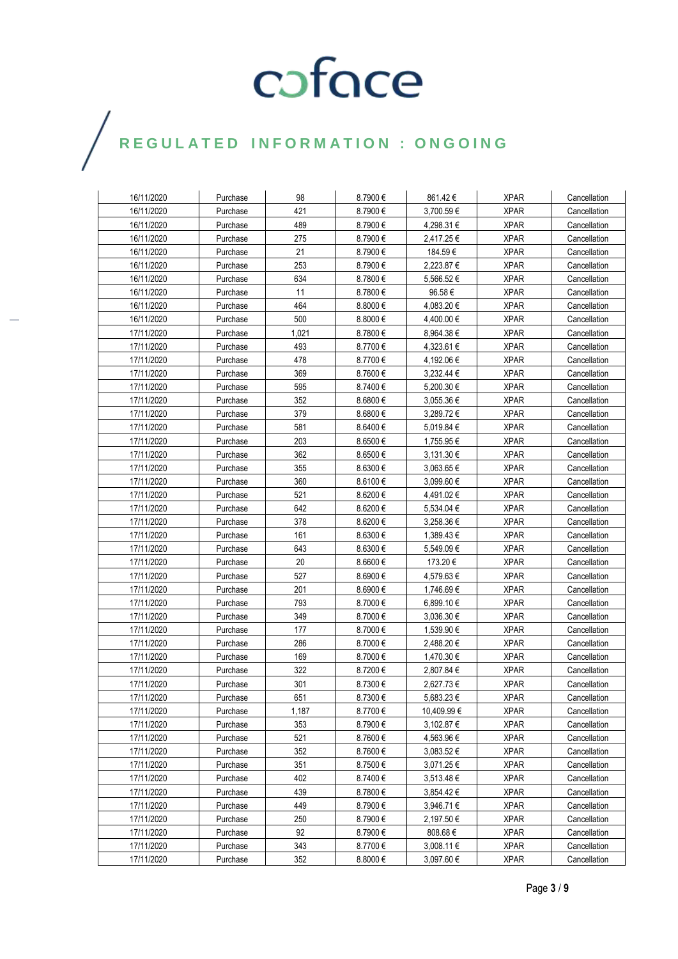| 16/11/2020 | Purchase | 98    | 8.7900€      | 861.42€          | <b>XPAR</b> | Cancellation |
|------------|----------|-------|--------------|------------------|-------------|--------------|
| 16/11/2020 | Purchase | 421   | 8.7900€      | 3,700.59€        | <b>XPAR</b> | Cancellation |
| 16/11/2020 | Purchase | 489   | 8.7900€      | 4,298.31 €       | <b>XPAR</b> | Cancellation |
| 16/11/2020 | Purchase | 275   | 8.7900€      | 2,417.25€        | <b>XPAR</b> | Cancellation |
| 16/11/2020 | Purchase | 21    | 8.7900€      | 184.59€          | <b>XPAR</b> | Cancellation |
| 16/11/2020 | Purchase | 253   | 8.7900€      | 2,223.87 €       | <b>XPAR</b> | Cancellation |
| 16/11/2020 | Purchase | 634   | 8.7800€      | 5,566.52€        | <b>XPAR</b> | Cancellation |
| 16/11/2020 | Purchase | 11    | 8.7800€      | 96.58€           | <b>XPAR</b> | Cancellation |
| 16/11/2020 | Purchase | 464   | 8.8000€      | 4,083.20 €       | <b>XPAR</b> | Cancellation |
| 16/11/2020 | Purchase | 500   | 8.8000€      | 4,400.00 €       | <b>XPAR</b> | Cancellation |
| 17/11/2020 | Purchase | 1,021 | 8.7800€      | 8,964.38€        | <b>XPAR</b> | Cancellation |
| 17/11/2020 | Purchase | 493   | 8.7700€      | 4,323.61 €       | <b>XPAR</b> | Cancellation |
| 17/11/2020 | Purchase | 478   | 8.7700€      | 4,192.06€        | <b>XPAR</b> | Cancellation |
| 17/11/2020 | Purchase | 369   | 8.7600€      | 3,232.44 €       | <b>XPAR</b> | Cancellation |
| 17/11/2020 | Purchase | 595   | 8.7400€      | 5,200.30 €       | <b>XPAR</b> | Cancellation |
| 17/11/2020 | Purchase | 352   | 8.6800€      | $3{,}055.36 \in$ | <b>XPAR</b> | Cancellation |
| 17/11/2020 | Purchase | 379   | 8.6800€      | 3,289.72€        | <b>XPAR</b> | Cancellation |
| 17/11/2020 | Purchase | 581   | 8.6400€      | 5,019.84 €       | <b>XPAR</b> | Cancellation |
| 17/11/2020 | Purchase | 203   | 8.6500€      | 1,755.95€        | <b>XPAR</b> | Cancellation |
| 17/11/2020 | Purchase | 362   | 8.6500€      | 3,131.30 €       | <b>XPAR</b> | Cancellation |
| 17/11/2020 | Purchase | 355   | 8.6300€      | 3,063.65€        | <b>XPAR</b> | Cancellation |
| 17/11/2020 | Purchase | 360   | 8.6100€      | 3,099.60 €       | <b>XPAR</b> | Cancellation |
| 17/11/2020 | Purchase | 521   | 8.6200€      | 4,491.02€        | <b>XPAR</b> | Cancellation |
| 17/11/2020 | Purchase | 642   | 8.6200€      | 5,534.04 €       | <b>XPAR</b> | Cancellation |
| 17/11/2020 | Purchase | 378   | 8.6200€      | 3,258.36 €       | <b>XPAR</b> | Cancellation |
| 17/11/2020 | Purchase | 161   | 8.6300€      | 1,389.43€        | <b>XPAR</b> | Cancellation |
| 17/11/2020 | Purchase | 643   | 8.6300€      | 5,549.09€        | <b>XPAR</b> | Cancellation |
| 17/11/2020 | Purchase | 20    | 8.6600 $\in$ | 173.20€          | <b>XPAR</b> | Cancellation |
| 17/11/2020 | Purchase | 527   | 8.6900€      | 4,579.63€        | <b>XPAR</b> | Cancellation |
| 17/11/2020 | Purchase | 201   | 8.6900€      | 1,746.69€        | <b>XPAR</b> | Cancellation |
| 17/11/2020 | Purchase | 793   | 8.7000€      | 6,899.10€        | <b>XPAR</b> | Cancellation |
| 17/11/2020 | Purchase | 349   | 8.7000€      | 3,036.30 €       | <b>XPAR</b> | Cancellation |
| 17/11/2020 | Purchase | 177   | 8.7000€      | 1,539.90 €       | <b>XPAR</b> | Cancellation |
| 17/11/2020 | Purchase | 286   | 8.7000€      | 2,488.20€        | <b>XPAR</b> | Cancellation |
| 17/11/2020 | Purchase | 169   | 8.7000€      | 1,470.30 €       | <b>XPAR</b> | Cancellation |
| 17/11/2020 | Purchase | 322   | 8.7200€      | 2,807.84 €       | <b>XPAR</b> | Cancellation |
| 17/11/2020 | Purchase | 301   | 8.7300€      | 2.627.73 €       | <b>XPAR</b> | Cancellation |
| 17/11/2020 | Purchase | 651   | 8.7300€      | 5,683.23€        | <b>XPAR</b> | Cancellation |
| 17/11/2020 | Purchase | 1,187 | 8.7700€      | 10,409.99 €      | <b>XPAR</b> | Cancellation |
| 17/11/2020 | Purchase | 353   | 8.7900€      | 3,102.87 €       | <b>XPAR</b> | Cancellation |
| 17/11/2020 | Purchase | 521   | 8.7600€      | 4,563.96€        | <b>XPAR</b> | Cancellation |
| 17/11/2020 | Purchase | 352   | 8.7600€      | 3,083.52 €       | <b>XPAR</b> | Cancellation |
| 17/11/2020 | Purchase | 351   | 8.7500€      | 3,071.25 €       | <b>XPAR</b> | Cancellation |
| 17/11/2020 | Purchase | 402   | 8.7400€      | 3,513.48 €       | <b>XPAR</b> | Cancellation |
| 17/11/2020 | Purchase | 439   | 8.7800€      | 3,854.42€        | <b>XPAR</b> | Cancellation |
| 17/11/2020 | Purchase | 449   | 8.7900€      | 3,946.71€        | <b>XPAR</b> | Cancellation |
| 17/11/2020 | Purchase | 250   | 8.7900€      | 2,197.50 €       | <b>XPAR</b> | Cancellation |
| 17/11/2020 | Purchase | 92    | 8.7900€      | 808.68€          | <b>XPAR</b> | Cancellation |
| 17/11/2020 | Purchase | 343   | 8.7700€      | 3,008.11 €       | <b>XPAR</b> | Cancellation |
| 17/11/2020 | Purchase | 352   | $8.8000 \in$ | 3,097.60 €       | <b>XPAR</b> | Cancellation |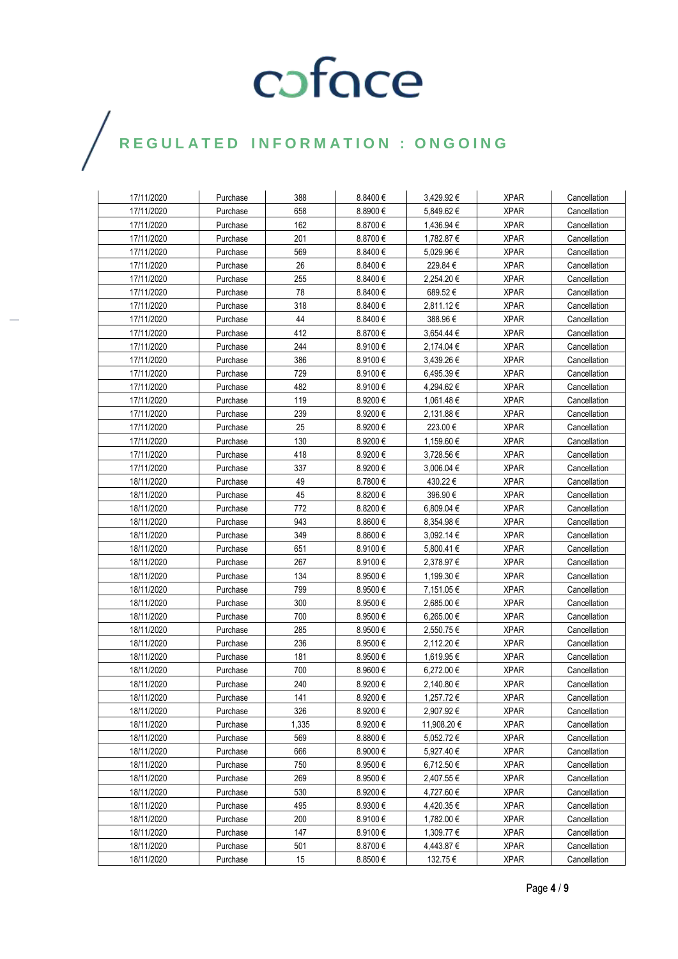| 17/11/2020 | Purchase | 388   | 8.8400€      | 3,429.92 €  | <b>XPAR</b> | Cancellation |
|------------|----------|-------|--------------|-------------|-------------|--------------|
| 17/11/2020 | Purchase | 658   | 8.8900€      | 5,849.62 €  | <b>XPAR</b> | Cancellation |
| 17/11/2020 | Purchase | 162   | 8.8700€      | 1,436.94 €  | <b>XPAR</b> | Cancellation |
| 17/11/2020 | Purchase | 201   | 8.8700€      | 1,782.87 €  | <b>XPAR</b> | Cancellation |
| 17/11/2020 | Purchase | 569   | 8.8400€      | 5,029.96€   | <b>XPAR</b> | Cancellation |
| 17/11/2020 | Purchase | 26    | 8.8400€      | 229.84 €    | <b>XPAR</b> | Cancellation |
| 17/11/2020 | Purchase | 255   | 8.8400€      | 2,254.20€   | <b>XPAR</b> | Cancellation |
| 17/11/2020 | Purchase | 78    | 8.8400€      | 689.52€     | <b>XPAR</b> | Cancellation |
| 17/11/2020 | Purchase | 318   | 8.8400€      | 2,811.12€   | <b>XPAR</b> | Cancellation |
| 17/11/2020 | Purchase | 44    | 8.8400€      | 388.96€     | <b>XPAR</b> | Cancellation |
| 17/11/2020 | Purchase | 412   | 8.8700€      | 3,654.44 €  | <b>XPAR</b> | Cancellation |
| 17/11/2020 | Purchase | 244   | 8.9100€      | 2,174.04 €  | <b>XPAR</b> | Cancellation |
| 17/11/2020 | Purchase | 386   | 8.9100€      | 3,439.26 €  | <b>XPAR</b> | Cancellation |
| 17/11/2020 | Purchase | 729   | 8.9100€      | 6,495.39 €  | <b>XPAR</b> | Cancellation |
| 17/11/2020 | Purchase | 482   | 8.9100€      | 4,294.62 €  | <b>XPAR</b> | Cancellation |
| 17/11/2020 | Purchase | 119   | 8.9200€      | 1,061.48 €  | <b>XPAR</b> | Cancellation |
| 17/11/2020 | Purchase | 239   | 8.9200€      | 2,131.88€   | <b>XPAR</b> | Cancellation |
| 17/11/2020 | Purchase | 25    | 8.9200€      | 223.00€     | <b>XPAR</b> | Cancellation |
| 17/11/2020 | Purchase | 130   | 8.9200€      | 1,159.60 €  | <b>XPAR</b> | Cancellation |
| 17/11/2020 | Purchase | 418   | 8.9200€      | 3,728.56 €  | <b>XPAR</b> | Cancellation |
| 17/11/2020 | Purchase | 337   | 8.9200€      | 3,006.04 €  | <b>XPAR</b> | Cancellation |
| 18/11/2020 | Purchase | 49    | 8.7800€      | 430.22€     | <b>XPAR</b> | Cancellation |
| 18/11/2020 | Purchase | 45    | 8.8200€      | 396.90 €    | <b>XPAR</b> | Cancellation |
| 18/11/2020 | Purchase | 772   | 8.8200€      | 6,809.04 €  | <b>XPAR</b> | Cancellation |
| 18/11/2020 | Purchase | 943   | 8.8600€      | 8,354.98€   | <b>XPAR</b> | Cancellation |
| 18/11/2020 | Purchase | 349   | $8.8600 \in$ | 3,092.14 €  | <b>XPAR</b> | Cancellation |
| 18/11/2020 | Purchase | 651   | 8.9100€      | 5,800.41€   | <b>XPAR</b> | Cancellation |
| 18/11/2020 | Purchase | 267   | 8.9100€      | 2,378.97€   | <b>XPAR</b> | Cancellation |
| 18/11/2020 | Purchase | 134   | 8.9500€      | 1,199.30€   | <b>XPAR</b> | Cancellation |
| 18/11/2020 | Purchase | 799   | 8.9500€      | 7,151.05€   | <b>XPAR</b> | Cancellation |
| 18/11/2020 | Purchase | 300   | 8.9500€      | 2,685.00 €  | <b>XPAR</b> | Cancellation |
| 18/11/2020 | Purchase | 700   | 8.9500€      | 6,265.00 €  | <b>XPAR</b> | Cancellation |
| 18/11/2020 | Purchase | 285   | 8.9500€      | 2,550.75 €  | <b>XPAR</b> | Cancellation |
| 18/11/2020 | Purchase | 236   | 8.9500€      | 2,112.20 €  | <b>XPAR</b> | Cancellation |
| 18/11/2020 | Purchase | 181   | 8.9500€      | 1,619.95€   | <b>XPAR</b> | Cancellation |
| 18/11/2020 | Purchase | 700   | 8.9600€      | 6,272.00 €  | <b>XPAR</b> | Cancellation |
| 18/11/2020 | Purchase | 240   | 8.9200€      | 2,140.80 €  | <b>XPAR</b> | Cancellation |
| 18/11/2020 | Purchase | 141   | 8.9200€      | 1,257.72€   | <b>XPAR</b> | Cancellation |
| 18/11/2020 | Purchase | 326   | 8.9200€      | 2,907.92€   | <b>XPAR</b> | Cancellation |
| 18/11/2020 | Purchase | 1,335 | 8.9200€      | 11,908.20 € | <b>XPAR</b> | Cancellation |
| 18/11/2020 | Purchase | 569   | 8.8800€      | 5,052.72 €  | <b>XPAR</b> | Cancellation |
| 18/11/2020 | Purchase | 666   | 8.9000€      | 5,927.40 €  | <b>XPAR</b> | Cancellation |
| 18/11/2020 | Purchase | 750   | 8.9500€      | 6,712.50 €  | <b>XPAR</b> | Cancellation |
| 18/11/2020 | Purchase | 269   | 8.9500€      | 2,407.55 €  | <b>XPAR</b> | Cancellation |
| 18/11/2020 | Purchase | 530   | 8.9200€      | 4,727.60 €  | <b>XPAR</b> | Cancellation |
| 18/11/2020 | Purchase | 495   | 8.9300€      | 4,420.35 €  | <b>XPAR</b> | Cancellation |
| 18/11/2020 | Purchase | 200   | 8.9100€      | 1,782.00 €  | <b>XPAR</b> | Cancellation |
| 18/11/2020 | Purchase | 147   | 8.9100€      | 1,309.77 €  | <b>XPAR</b> | Cancellation |
| 18/11/2020 | Purchase | 501   | 8.8700€      | 4,443.87 €  | <b>XPAR</b> | Cancellation |
| 18/11/2020 | Purchase | 15    | 8.8500€      | 132.75€     | <b>XPAR</b> | Cancellation |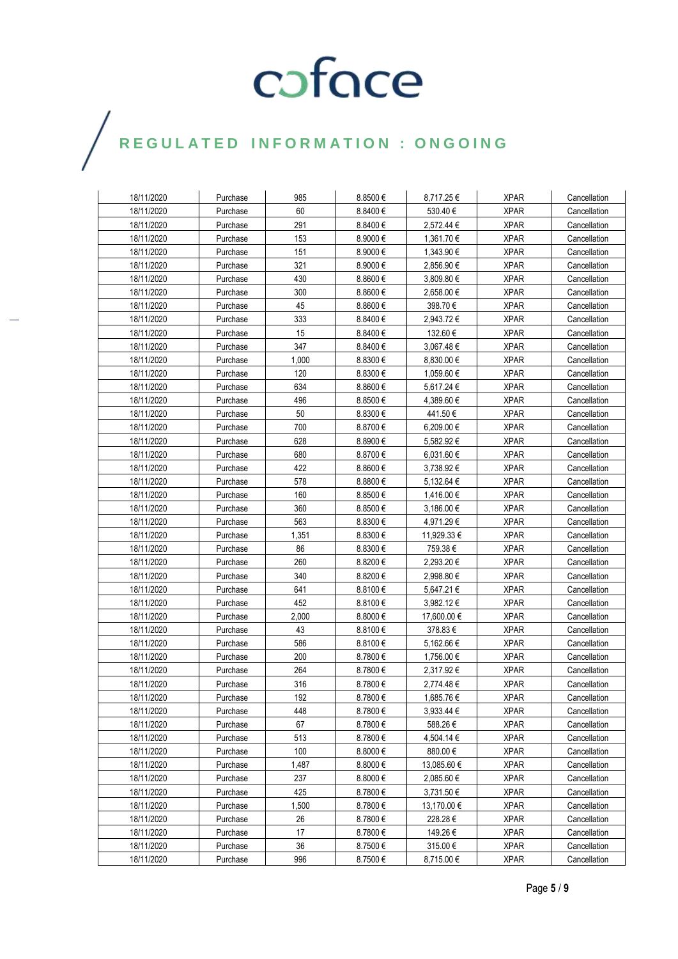| 18/11/2020 | Purchase | 985   | $8.8500 \in$ | 8,717.25 €  | <b>XPAR</b> | Cancellation |
|------------|----------|-------|--------------|-------------|-------------|--------------|
| 18/11/2020 | Purchase | 60    | 8.8400€      | 530.40€     | <b>XPAR</b> | Cancellation |
| 18/11/2020 | Purchase | 291   | 8.8400€      | 2,572.44 €  | <b>XPAR</b> | Cancellation |
| 18/11/2020 | Purchase | 153   | 8.9000€      | 1,361.70 €  | <b>XPAR</b> | Cancellation |
| 18/11/2020 | Purchase | 151   | 8.9000€      | 1,343.90 €  | <b>XPAR</b> | Cancellation |
| 18/11/2020 | Purchase | 321   | 8.9000€      | 2,856.90 €  | <b>XPAR</b> | Cancellation |
| 18/11/2020 | Purchase | 430   | 8.8600€      | 3,809.80 €  | <b>XPAR</b> | Cancellation |
| 18/11/2020 | Purchase | 300   | $8.8600 \in$ | 2,658.00 €  | <b>XPAR</b> | Cancellation |
| 18/11/2020 | Purchase | 45    | $8.8600 \in$ | 398.70€     | <b>XPAR</b> | Cancellation |
| 18/11/2020 | Purchase | 333   | 8.8400€      | 2,943.72 €  | <b>XPAR</b> | Cancellation |
| 18/11/2020 | Purchase | 15    | $8.8400 \in$ | 132.60€     | <b>XPAR</b> | Cancellation |
| 18/11/2020 | Purchase | 347   | 8.8400€      | 3,067.48€   | <b>XPAR</b> | Cancellation |
| 18/11/2020 | Purchase | 1,000 | 8.8300€      | 8,830.00 €  | <b>XPAR</b> | Cancellation |
| 18/11/2020 | Purchase | 120   | 8.8300€      | 1,059.60 €  | <b>XPAR</b> | Cancellation |
| 18/11/2020 | Purchase | 634   | 8.8600€      | 5,617.24 €  | <b>XPAR</b> | Cancellation |
| 18/11/2020 | Purchase | 496   | 8.8500€      | 4,389.60 €  | <b>XPAR</b> | Cancellation |
| 18/11/2020 | Purchase | 50    | 8.8300€      | 441.50€     | <b>XPAR</b> | Cancellation |
| 18/11/2020 | Purchase | 700   | 8.8700€      | 6,209.00€   | <b>XPAR</b> | Cancellation |
| 18/11/2020 | Purchase | 628   | 8.8900€      | 5,582.92€   | <b>XPAR</b> | Cancellation |
| 18/11/2020 | Purchase | 680   | 8.8700€      | 6,031.60 €  | <b>XPAR</b> | Cancellation |
| 18/11/2020 | Purchase | 422   | 8.8600€      | 3,738.92€   | <b>XPAR</b> | Cancellation |
| 18/11/2020 | Purchase | 578   | 8.8800€      | 5,132.64 €  | <b>XPAR</b> | Cancellation |
| 18/11/2020 | Purchase | 160   | 8.8500€      | 1,416.00 €  | <b>XPAR</b> | Cancellation |
| 18/11/2020 | Purchase | 360   | 8.8500€      | 3,186.00 €  | <b>XPAR</b> | Cancellation |
| 18/11/2020 | Purchase | 563   | 8.8300 €     | 4,971.29€   | <b>XPAR</b> | Cancellation |
| 18/11/2020 | Purchase | 1,351 | 8.8300€      | 11,929.33 € | <b>XPAR</b> | Cancellation |
| 18/11/2020 | Purchase | 86    | 8.8300 €     | 759.38€     | <b>XPAR</b> | Cancellation |
| 18/11/2020 | Purchase | 260   | 8.8200€      | 2,293.20 €  | <b>XPAR</b> | Cancellation |
| 18/11/2020 | Purchase | 340   | 8.8200€      | 2,998.80 €  | <b>XPAR</b> | Cancellation |
| 18/11/2020 | Purchase | 641   | $8.8100 \in$ | 5,647.21€   | <b>XPAR</b> | Cancellation |
| 18/11/2020 | Purchase | 452   | 8.8100€      | 3,982.12€   | <b>XPAR</b> | Cancellation |
| 18/11/2020 | Purchase | 2,000 | 8.8000 $\in$ | 17,600.00 € | <b>XPAR</b> | Cancellation |
| 18/11/2020 | Purchase | 43    | 8.8100€      | 378.83€     | <b>XPAR</b> | Cancellation |
| 18/11/2020 | Purchase | 586   | 8.8100€      | 5,162.66 €  | <b>XPAR</b> | Cancellation |
| 18/11/2020 | Purchase | 200   | 8.7800€      | 1,756.00 €  | <b>XPAR</b> | Cancellation |
| 18/11/2020 | Purchase | 264   | 8.7800€      | 2,317.92 €  | <b>XPAR</b> | Cancellation |
| 18/11/2020 | Purchase | 316   | 8.7800€      | 2,774.48€   | <b>XPAR</b> | Cancellation |
| 18/11/2020 | Purchase | 192   | 8.7800€      | 1,685.76€   | <b>XPAR</b> | Cancellation |
| 18/11/2020 | Purchase | 448   | $8.7800 \in$ | 3,933.44 €  | <b>XPAR</b> | Cancellation |
| 18/11/2020 | Purchase | 67    | 8.7800€      | 588.26€     | <b>XPAR</b> | Cancellation |
| 18/11/2020 | Purchase | 513   | 8.7800€      | 4,504.14 €  | <b>XPAR</b> | Cancellation |
| 18/11/2020 | Purchase | 100   | 8.8000€      | 880.00€     | <b>XPAR</b> | Cancellation |
| 18/11/2020 | Purchase | 1,487 | 8.8000€      | 13,085.60 € | <b>XPAR</b> | Cancellation |
| 18/11/2020 | Purchase | 237   | 8.8000€      | 2,085.60 €  | <b>XPAR</b> | Cancellation |
| 18/11/2020 | Purchase | 425   | 8.7800€      | 3,731.50 €  | <b>XPAR</b> | Cancellation |
| 18/11/2020 | Purchase | 1,500 | 8.7800€      | 13,170.00 € | <b>XPAR</b> | Cancellation |
| 18/11/2020 | Purchase | 26    | 8.7800€      | 228.28€     | <b>XPAR</b> | Cancellation |
| 18/11/2020 | Purchase | 17    | 8.7800€      | 149.26€     | <b>XPAR</b> | Cancellation |
| 18/11/2020 | Purchase | 36    | 8.7500€      | 315.00€     | <b>XPAR</b> | Cancellation |
| 18/11/2020 | Purchase | 996   | 8.7500€      | 8,715.00 €  | <b>XPAR</b> | Cancellation |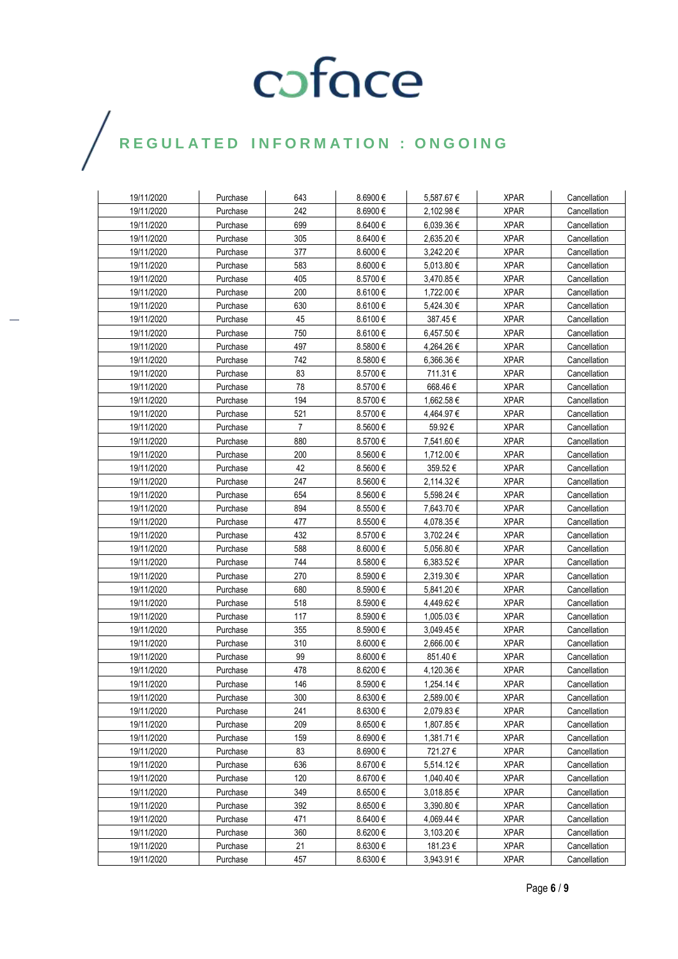| 19/11/2020 | Purchase | 643            | 8.6900€      | 5,587.67€  | <b>XPAR</b> | Cancellation |
|------------|----------|----------------|--------------|------------|-------------|--------------|
| 19/11/2020 | Purchase | 242            | 8.6900€      | 2,102.98 € | <b>XPAR</b> | Cancellation |
| 19/11/2020 | Purchase | 699            | 8.6400€      | 6,039.36 € | <b>XPAR</b> | Cancellation |
| 19/11/2020 | Purchase | 305            | $8.6400 \in$ | 2,635.20 € | <b>XPAR</b> | Cancellation |
| 19/11/2020 | Purchase | 377            | 8.6000€      | 3,242.20 € | <b>XPAR</b> | Cancellation |
| 19/11/2020 | Purchase | 583            | 8.6000€      | 5,013.80 € | <b>XPAR</b> | Cancellation |
| 19/11/2020 | Purchase | 405            | 8.5700€      | 3,470.85 € | <b>XPAR</b> | Cancellation |
| 19/11/2020 | Purchase | 200            | $8.6100 \in$ | 1,722.00 € | <b>XPAR</b> | Cancellation |
| 19/11/2020 | Purchase | 630            | 8.6100€      | 5,424.30 € | <b>XPAR</b> | Cancellation |
| 19/11/2020 | Purchase | 45             | 8.6100€      | 387.45€    | <b>XPAR</b> | Cancellation |
| 19/11/2020 | Purchase | 750            | 8.6100€      | 6,457.50€  | <b>XPAR</b> | Cancellation |
| 19/11/2020 | Purchase | 497            | 8.5800€      | 4,264.26 € | <b>XPAR</b> | Cancellation |
| 19/11/2020 | Purchase | 742            | 8.5800€      | 6,366.36€  | <b>XPAR</b> | Cancellation |
| 19/11/2020 | Purchase | 83             | 8.5700€      | 711.31€    | <b>XPAR</b> | Cancellation |
| 19/11/2020 | Purchase | 78             | 8.5700€      | 668.46€    | <b>XPAR</b> | Cancellation |
| 19/11/2020 | Purchase | 194            | 8.5700€      | 1,662.58 € | <b>XPAR</b> | Cancellation |
| 19/11/2020 | Purchase | 521            | 8.5700€      | 4,464.97 € | <b>XPAR</b> | Cancellation |
| 19/11/2020 | Purchase | $\overline{7}$ | 8.5600€      | 59.92€     | <b>XPAR</b> | Cancellation |
| 19/11/2020 | Purchase | 880            | 8.5700 €     | 7,541.60 € | <b>XPAR</b> | Cancellation |
| 19/11/2020 | Purchase | 200            | 8.5600 €     | 1,712.00 € | <b>XPAR</b> | Cancellation |
| 19/11/2020 | Purchase | 42             | 8.5600€      | 359.52€    | <b>XPAR</b> | Cancellation |
| 19/11/2020 | Purchase | 247            | 8.5600€      | 2,114.32€  | <b>XPAR</b> | Cancellation |
| 19/11/2020 | Purchase | 654            | 8.5600€      | 5,598.24 € | <b>XPAR</b> | Cancellation |
| 19/11/2020 | Purchase | 894            | 8.5500€      | 7,643.70 € | <b>XPAR</b> | Cancellation |
| 19/11/2020 | Purchase | 477            | 8.5500€      | 4,078.35 € | <b>XPAR</b> | Cancellation |
| 19/11/2020 | Purchase | 432            | 8.5700€      | 3,702.24 € | <b>XPAR</b> | Cancellation |
| 19/11/2020 | Purchase | 588            | 8.6000€      | 5,056.80 € | <b>XPAR</b> | Cancellation |
| 19/11/2020 | Purchase | 744            | 8.5800€      | 6,383.52€  | <b>XPAR</b> | Cancellation |
| 19/11/2020 | Purchase | 270            | 8.5900€      | 2,319.30 € | <b>XPAR</b> | Cancellation |
| 19/11/2020 | Purchase | 680            | 8.5900€      | 5,841.20€  | <b>XPAR</b> | Cancellation |
| 19/11/2020 | Purchase | 518            | 8.5900€      | 4,449.62 € | <b>XPAR</b> | Cancellation |
| 19/11/2020 | Purchase | 117            | 8.5900€      | 1,005.03€  | <b>XPAR</b> | Cancellation |
| 19/11/2020 | Purchase | 355            | 8.5900€      | 3,049.45 € | <b>XPAR</b> | Cancellation |
| 19/11/2020 | Purchase | 310            | 8.6000€      | 2,666.00€  | <b>XPAR</b> | Cancellation |
| 19/11/2020 | Purchase | 99             | 8.6000€      | 851.40€    | <b>XPAR</b> | Cancellation |
| 19/11/2020 | Purchase | 478            | 8.6200€      | 4,120.36 € | <b>XPAR</b> | Cancellation |
| 19/11/2020 | Purchase | 146            | 8.5900€      | 1,254.14 € | <b>XPAR</b> | Cancellation |
| 19/11/2020 | Purchase | 300            | 8.6300€      | 2.589.00 € | <b>XPAR</b> | Cancellation |
| 19/11/2020 | Purchase | 241            | 8.6300€      | 2,079.83 € | <b>XPAR</b> | Cancellation |
| 19/11/2020 | Purchase | 209            | 8.6500€      | 1,807.85€  | <b>XPAR</b> | Cancellation |
| 19/11/2020 | Purchase | 159            | 8.6900€      | 1,381.71 € | <b>XPAR</b> | Cancellation |
| 19/11/2020 | Purchase | 83             | 8.6900€      | 721.27 €   | <b>XPAR</b> | Cancellation |
| 19/11/2020 | Purchase | 636            | 8.6700€      | 5,514.12 € | <b>XPAR</b> | Cancellation |
| 19/11/2020 | Purchase | 120            | 8.6700€      | 1,040.40 € | <b>XPAR</b> | Cancellation |
| 19/11/2020 | Purchase | 349            | $8.6500 \in$ | 3,018.85 € | <b>XPAR</b> | Cancellation |
| 19/11/2020 | Purchase | 392            | 8.6500€      | 3,390.80 € | <b>XPAR</b> | Cancellation |
| 19/11/2020 | Purchase | 471            | $8.6400 \in$ | 4,069.44 € | <b>XPAR</b> | Cancellation |
| 19/11/2020 | Purchase | 360            | $8.6200 \in$ | 3,103.20 € | <b>XPAR</b> | Cancellation |
| 19/11/2020 | Purchase | 21             | $8.6300 \in$ | 181.23 €   | <b>XPAR</b> | Cancellation |
| 19/11/2020 | Purchase | 457            | 8.6300€      | 3,943.91 € | <b>XPAR</b> | Cancellation |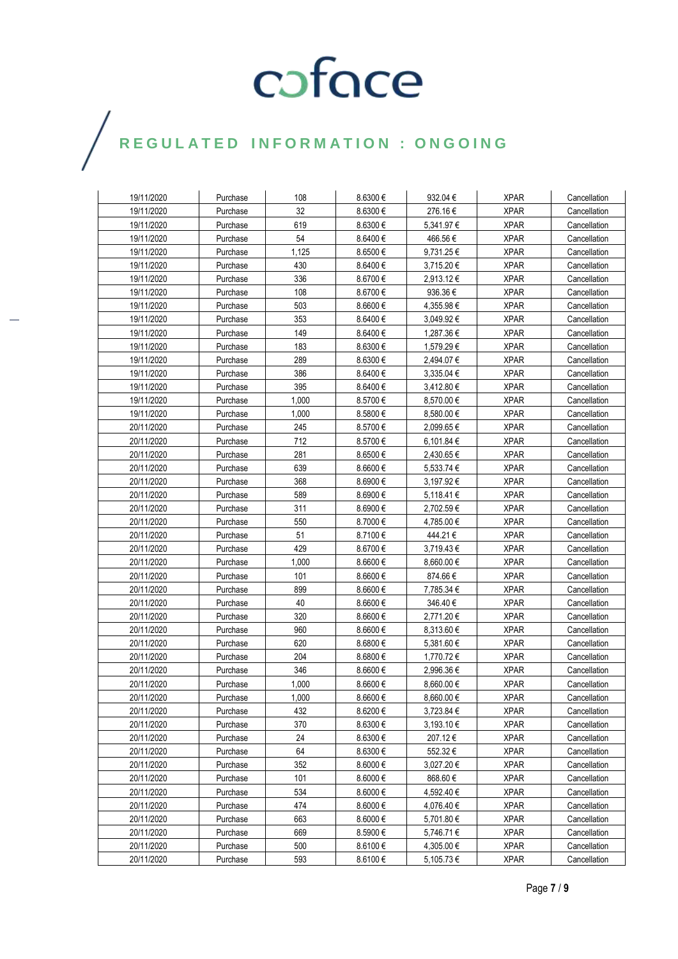| 19/11/2020 | Purchase | 108   | 8.6300€      | 932.04 €       | <b>XPAR</b> | Cancellation |
|------------|----------|-------|--------------|----------------|-------------|--------------|
| 19/11/2020 | Purchase | 32    | 8.6300€      | 276.16€        | <b>XPAR</b> | Cancellation |
| 19/11/2020 | Purchase | 619   | 8.6300€      | 5,341.97 €     | <b>XPAR</b> | Cancellation |
| 19/11/2020 | Purchase | 54    | $8.6400 \in$ | 466.56€        | <b>XPAR</b> | Cancellation |
| 19/11/2020 | Purchase | 1,125 | 8.6500€      | 9,731.25€      | <b>XPAR</b> | Cancellation |
| 19/11/2020 | Purchase | 430   | 8.6400 $\in$ | 3,715.20 €     | <b>XPAR</b> | Cancellation |
| 19/11/2020 | Purchase | 336   | 8.6700€      | $2,913.12 \in$ | <b>XPAR</b> | Cancellation |
| 19/11/2020 | Purchase | 108   | 8.6700€      | 936.36€        | <b>XPAR</b> | Cancellation |
| 19/11/2020 | Purchase | 503   | 8.6600€      | 4,355.98€      | <b>XPAR</b> | Cancellation |
| 19/11/2020 | Purchase | 353   | 8.6400€      | 3,049.92€      | <b>XPAR</b> | Cancellation |
| 19/11/2020 | Purchase | 149   | 8.6400€      | 1,287.36 €     | <b>XPAR</b> | Cancellation |
| 19/11/2020 | Purchase | 183   | 8.6300€      | 1,579.29€      | <b>XPAR</b> | Cancellation |
| 19/11/2020 | Purchase | 289   | 8.6300€      | 2,494.07 €     | <b>XPAR</b> | Cancellation |
| 19/11/2020 | Purchase | 386   | 8.6400€      | 3,335.04 €     | <b>XPAR</b> | Cancellation |
| 19/11/2020 | Purchase | 395   | 8.6400€      | 3,412.80 €     | <b>XPAR</b> | Cancellation |
| 19/11/2020 | Purchase | 1,000 | 8.5700€      | 8,570.00 €     | <b>XPAR</b> | Cancellation |
| 19/11/2020 | Purchase | 1,000 | 8.5800€      | 8,580.00 €     | <b>XPAR</b> | Cancellation |
| 20/11/2020 | Purchase | 245   | 8.5700€      | 2,099.65€      | <b>XPAR</b> | Cancellation |
| 20/11/2020 | Purchase | 712   | 8.5700€      | 6,101.84 €     | <b>XPAR</b> | Cancellation |
| 20/11/2020 | Purchase | 281   | 8.6500€      | 2,430.65€      | <b>XPAR</b> | Cancellation |
| 20/11/2020 | Purchase | 639   | $8.6600 \in$ | 5,533.74 €     | <b>XPAR</b> | Cancellation |
| 20/11/2020 | Purchase | 368   | 8.6900€      | 3,197.92€      | <b>XPAR</b> | Cancellation |
| 20/11/2020 | Purchase | 589   | 8.6900€      | $5,118.41 \in$ | <b>XPAR</b> | Cancellation |
| 20/11/2020 | Purchase | 311   | 8.6900€      | 2,702.59€      | <b>XPAR</b> | Cancellation |
| 20/11/2020 | Purchase | 550   | 8.7000€      | 4,785.00 €     | <b>XPAR</b> | Cancellation |
| 20/11/2020 | Purchase | 51    | 8.7100€      | 444.21€        | <b>XPAR</b> | Cancellation |
| 20/11/2020 | Purchase | 429   | 8.6700€      | 3,719.43€      | <b>XPAR</b> | Cancellation |
| 20/11/2020 | Purchase | 1,000 | 8.6600€      | 8,660.00 €     | <b>XPAR</b> | Cancellation |
| 20/11/2020 | Purchase | 101   | 8.6600€      | 874.66€        | <b>XPAR</b> | Cancellation |
| 20/11/2020 | Purchase | 899   | 8.6600€      | 7,785.34 €     | <b>XPAR</b> | Cancellation |
| 20/11/2020 | Purchase | 40    | 8.6600€      | 346.40 €       | <b>XPAR</b> | Cancellation |
| 20/11/2020 | Purchase | 320   | 8.6600€      | 2,771.20 €     | <b>XPAR</b> | Cancellation |
| 20/11/2020 | Purchase | 960   | 8.6600€      | 8,313.60 €     | <b>XPAR</b> | Cancellation |
| 20/11/2020 | Purchase | 620   | 8.6800€      | 5,381.60 €     | <b>XPAR</b> | Cancellation |
| 20/11/2020 | Purchase | 204   | 8.6800€      | 1,770.72€      | <b>XPAR</b> | Cancellation |
| 20/11/2020 | Purchase | 346   | 8.6600€      | 2,996.36€      | <b>XPAR</b> | Cancellation |
| 20/11/2020 | Purchase | 1,000 | $8.6600 \in$ | $8,660.00 \in$ | <b>XPAR</b> | Cancellation |
| 20/11/2020 | Purchase | 1.000 | 8.6600€      | 8.660.00€      | <b>XPAR</b> | Cancellation |
| 20/11/2020 | Purchase | 432   | 8.6200€      | 3,723.84 €     | <b>XPAR</b> | Cancellation |
| 20/11/2020 | Purchase | 370   | 8.6300€      | 3,193.10 €     | <b>XPAR</b> | Cancellation |
| 20/11/2020 | Purchase | 24    | 8.6300€      | 207.12€        | <b>XPAR</b> | Cancellation |
| 20/11/2020 | Purchase | 64    | 8.6300€      | 552.32€        | <b>XPAR</b> | Cancellation |
| 20/11/2020 | Purchase | 352   | $8.6000 \in$ | 3,027.20 €     | <b>XPAR</b> | Cancellation |
| 20/11/2020 | Purchase | 101   | 8.6000€      | 868.60€        | <b>XPAR</b> | Cancellation |
| 20/11/2020 | Purchase | 534   | $8.6000 \in$ | 4,592.40 €     | <b>XPAR</b> | Cancellation |
| 20/11/2020 | Purchase | 474   | $8.6000 \in$ | 4,076.40 €     | <b>XPAR</b> | Cancellation |
| 20/11/2020 | Purchase | 663   | $8.6000 \in$ | 5,701.80 €     | <b>XPAR</b> | Cancellation |
| 20/11/2020 | Purchase | 669   | $8.5900 \in$ | 5,746.71 €     | <b>XPAR</b> | Cancellation |
| 20/11/2020 | Purchase | 500   | $8.6100 \in$ | 4,305.00 €     | <b>XPAR</b> | Cancellation |
| 20/11/2020 | Purchase | 593   | $8.6100 \in$ | 5,105.73€      | <b>XPAR</b> | Cancellation |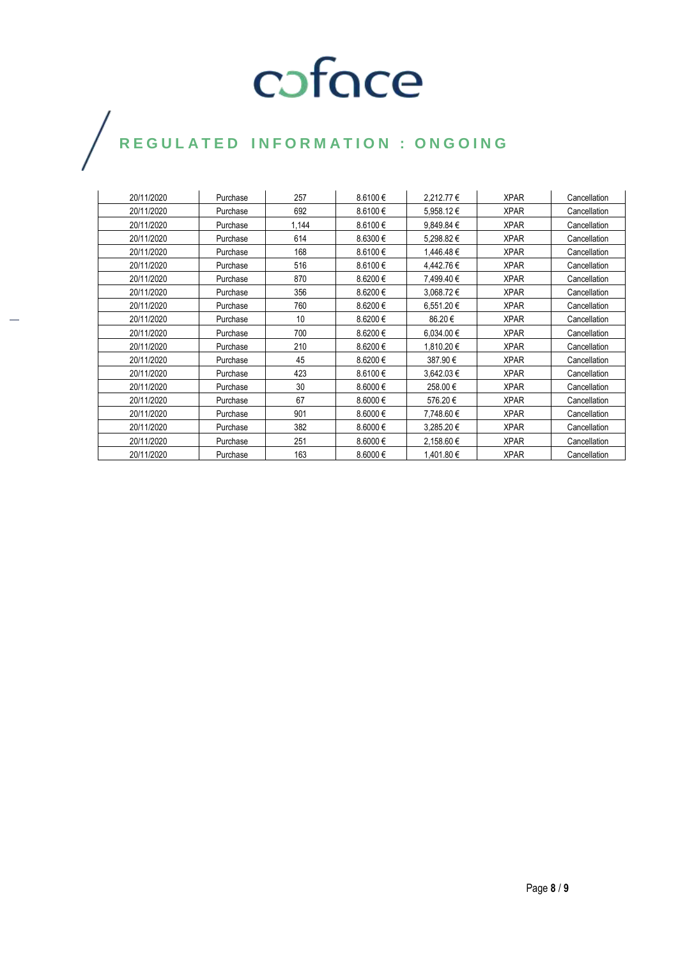| 20/11/2020 | Purchase | 257   | 8.6100€      | 2,212.77 €     | <b>XPAR</b> | Cancellation |
|------------|----------|-------|--------------|----------------|-------------|--------------|
| 20/11/2020 | Purchase | 692   | 8.6100€      | 5,958.12€      | <b>XPAR</b> | Cancellation |
| 20/11/2020 | Purchase | 1,144 | 8.6100€      | 9,849.84 €     | <b>XPAR</b> | Cancellation |
| 20/11/2020 | Purchase | 614   | 8.6300€      | 5,298.82€      | <b>XPAR</b> | Cancellation |
| 20/11/2020 | Purchase | 168   | 8.6100€      | 1,446.48€      | <b>XPAR</b> | Cancellation |
| 20/11/2020 | Purchase | 516   | 8.6100€      | 4,442.76 €     | <b>XPAR</b> | Cancellation |
| 20/11/2020 | Purchase | 870   | 8.6200€      | 7,499.40 €     | <b>XPAR</b> | Cancellation |
| 20/11/2020 | Purchase | 356   | 8.6200€      | 3,068.72 €     | <b>XPAR</b> | Cancellation |
| 20/11/2020 | Purchase | 760   | 8.6200€      | $6.551.20 \in$ | <b>XPAR</b> | Cancellation |
| 20/11/2020 | Purchase | 10    | 8.6200€      | 86.20€         | <b>XPAR</b> | Cancellation |
| 20/11/2020 | Purchase | 700   | 8.6200€      | 6,034.00 €     | <b>XPAR</b> | Cancellation |
| 20/11/2020 | Purchase | 210   | 8.6200€      | 1,810.20 €     | <b>XPAR</b> | Cancellation |
| 20/11/2020 | Purchase | 45    | 8.6200€      | 387.90 €       | <b>XPAR</b> | Cancellation |
| 20/11/2020 | Purchase | 423   | 8.6100€      | 3,642.03 €     | <b>XPAR</b> | Cancellation |
| 20/11/2020 | Purchase | 30    | 8.6000€      | 258.00€        | <b>XPAR</b> | Cancellation |
| 20/11/2020 | Purchase | 67    | $8.6000 \in$ | 576.20€        | <b>XPAR</b> | Cancellation |
| 20/11/2020 | Purchase | 901   | 8.6000€      | 7,748.60 €     | <b>XPAR</b> | Cancellation |
| 20/11/2020 | Purchase | 382   | 8.6000€      | 3,285.20€      | <b>XPAR</b> | Cancellation |
| 20/11/2020 | Purchase | 251   | 8.6000€      | 2,158.60 €     | <b>XPAR</b> | Cancellation |
| 20/11/2020 | Purchase | 163   | $8.6000 \in$ | 1,401.80 €     | <b>XPAR</b> | Cancellation |